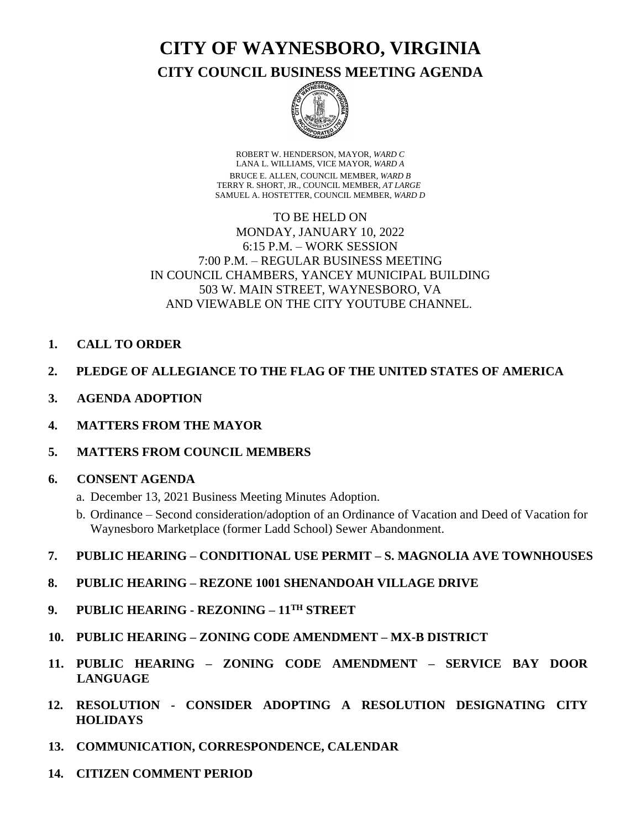**CITY OF WAYNESBORO, VIRGINIA**

**CITY COUNCIL BUSINESS MEETING AGENDA**



ROBERT W. HENDERSON, MAYOR, *WARD C* LANA L. WILLIAMS, VICE MAYOR, *WARD A* BRUCE E. ALLEN, COUNCIL MEMBER, *WARD B* TERRY R. SHORT, JR., COUNCIL MEMBER, *AT LARGE* SAMUEL A. HOSTETTER, COUNCIL MEMBER, *WARD D*

# TO BE HELD ON MONDAY, JANUARY 10, 2022 6:15 P.M. – WORK SESSION 7:00 P.M. – REGULAR BUSINESS MEETING IN COUNCIL CHAMBERS, YANCEY MUNICIPAL BUILDING 503 W. MAIN STREET, WAYNESBORO, VA AND VIEWABLE ON THE CITY YOUTUBE CHANNEL.

- **1. CALL TO ORDER**
- **2. PLEDGE OF ALLEGIANCE TO THE FLAG OF THE UNITED STATES OF AMERICA**
- **3. AGENDA ADOPTION**
- **4. MATTERS FROM THE MAYOR**
- **5. MATTERS FROM COUNCIL MEMBERS**

# **6. CONSENT AGENDA**

- a. December 13, 2021 Business Meeting Minutes Adoption.
- b. Ordinance Second consideration/adoption of an Ordinance of Vacation and Deed of Vacation for Waynesboro Marketplace (former Ladd School) Sewer Abandonment.
- **7. PUBLIC HEARING – CONDITIONAL USE PERMIT – S. MAGNOLIA AVE TOWNHOUSES**
- **8. PUBLIC HEARING – REZONE 1001 SHENANDOAH VILLAGE DRIVE**
- **9. PUBLIC HEARING REZONING – 11TH STREET**
- **10. PUBLIC HEARING – ZONING CODE AMENDMENT – MX-B DISTRICT**
- **11. PUBLIC HEARING – ZONING CODE AMENDMENT – SERVICE BAY DOOR LANGUAGE**
- **12. RESOLUTION - CONSIDER ADOPTING A RESOLUTION DESIGNATING CITY HOLIDAYS**
- **13. COMMUNICATION, CORRESPONDENCE, CALENDAR**
- **14. CITIZEN COMMENT PERIOD**